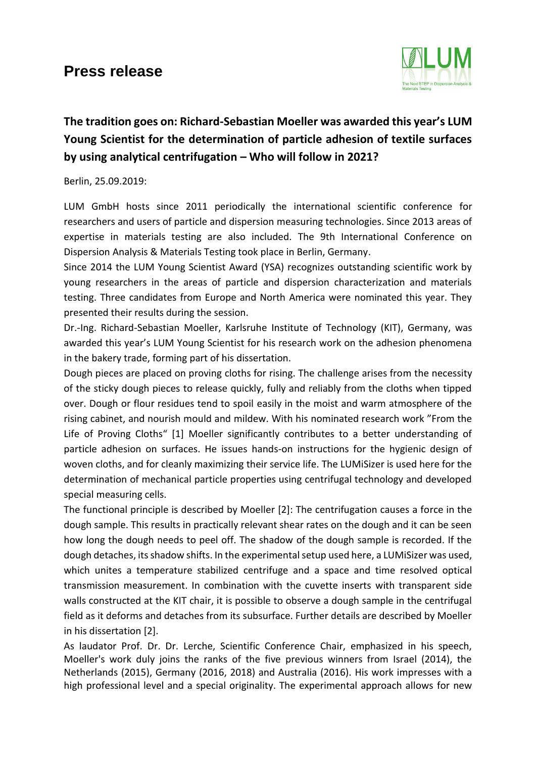## **Press release**



## **The tradition goes on: Richard-Sebastian Moeller was awarded this year's LUM Young Scientist for the determination of particle adhesion of textile surfaces by using analytical centrifugation – Who will follow in 2021?**

Berlin, 25.09.2019:

LUM GmbH hosts since 2011 periodically the international scientific conference for researchers and users of particle and dispersion measuring technologies. Since 2013 areas of expertise in materials testing are also included. The 9th International Conference on Dispersion Analysis & Materials Testing took place in Berlin, Germany.

Since 2014 the LUM Young Scientist Award (YSA) recognizes outstanding scientific work by young researchers in the areas of particle and dispersion characterization and materials testing. Three candidates from Europe and North America were nominated this year. They presented their results during the session.

Dr.-Ing. Richard-Sebastian Moeller, Karlsruhe Institute of Technology (KIT), Germany, was awarded this year's LUM Young Scientist for his research work on the adhesion phenomena in the bakery trade, forming part of his dissertation.

Dough pieces are placed on proving cloths for rising. The challenge arises from the necessity of the sticky dough pieces to release quickly, fully and reliably from the cloths when tipped over. Dough or flour residues tend to spoil easily in the moist and warm atmosphere of the rising cabinet, and nourish mould and mildew. With his nominated research work "From the Life of Proving Cloths" [1] Moeller significantly contributes to a better understanding of particle adhesion on surfaces. He issues hands-on instructions for the hygienic design of woven cloths, and for cleanly maximizing their service life. The LUMiSizer is used here for the determination of mechanical particle properties using centrifugal technology and developed special measuring cells.

The functional principle is described by Moeller [2]: The centrifugation causes a force in the dough sample. This results in practically relevant shear rates on the dough and it can be seen how long the dough needs to peel off. The shadow of the dough sample is recorded. If the dough detaches, its shadow shifts. In the experimental setup used here, a LUMiSizer was used, which unites a temperature stabilized centrifuge and a space and time resolved optical transmission measurement. In combination with the cuvette inserts with transparent side walls constructed at the KIT chair, it is possible to observe a dough sample in the centrifugal field as it deforms and detaches from its subsurface. Further details are described by Moeller in his dissertation [2].

As laudator Prof. Dr. Dr. Lerche, Scientific Conference Chair, emphasized in his speech, Moeller's work duly joins the ranks of the five previous winners from Israel (2014), the Netherlands (2015), Germany (2016, 2018) and Australia (2016). His work impresses with a high professional level and a special originality. The experimental approach allows for new